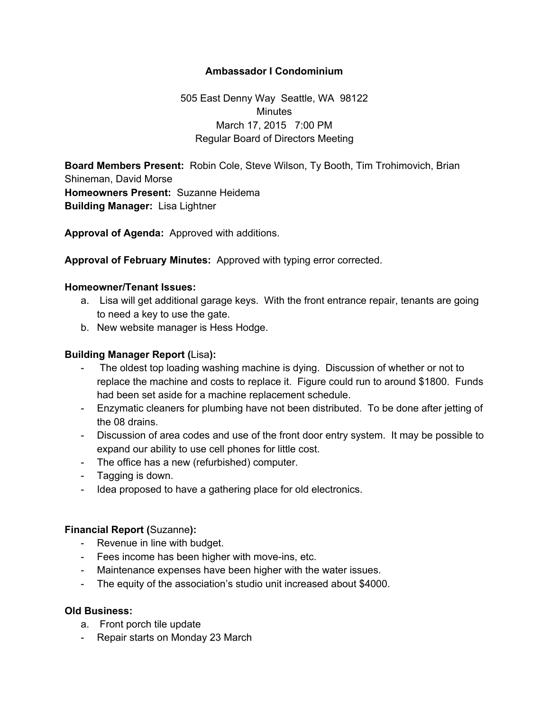# **Ambassador I Condominium**

505 East Denny Way Seattle, WA 98122 **Minutes** March 17, 2015 7:00 PM Regular Board of Directors Meeting

**Board Members Present:** Robin Cole, Steve Wilson, Ty Booth, Tim Trohimovich, Brian Shineman, David Morse **Homeowners Present:** Suzanne Heidema **Building Manager:** Lisa Lightner

**Approval of Agenda:** Approved with additions.

**Approval of February Minutes:** Approved with typing error corrected.

### **Homeowner/Tenant Issues:**

- a. Lisa will get additional garage keys. With the front entrance repair, tenants are going to need a key to use the gate.
- b. New website manager is Hess Hodge.

## **Building Manager Report (**Lisa**):**

- The oldest top loading washing machine is dying. Discussion of whether or not to replace the machine and costs to replace it. Figure could run to around \$1800. Funds had been set aside for a machine replacement schedule.
- Enzymatic cleaners for plumbing have not been distributed. To be done after jetting of the 08 drains.
- Discussion of area codes and use of the front door entry system. It may be possible to expand our ability to use cell phones for little cost.
- The office has a new (refurbished) computer.
- Tagging is down.
- Idea proposed to have a gathering place for old electronics.

## **Financial Report (**Suzanne**):**

- Revenue in line with budget.
- Fees income has been higher with move-ins, etc.
- Maintenance expenses have been higher with the water issues.
- The equity of the association's studio unit increased about \$4000.

#### **Old Business:**

- a. Front porch tile update
- Repair starts on Monday 23 March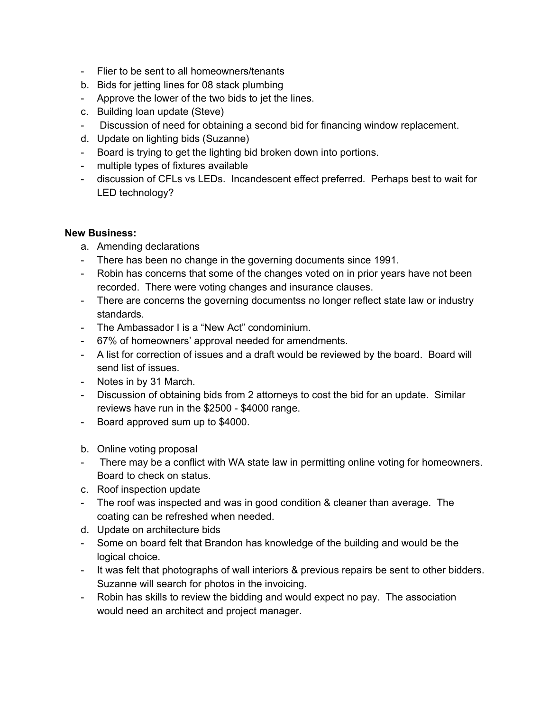- Flier to be sent to all homeowners/tenants
- b. Bids for jetting lines for 08 stack plumbing
- Approve the lower of the two bids to jet the lines.
- c. Building loan update (Steve)
- Discussion of need for obtaining a second bid for financing window replacement.
- d. Update on lighting bids (Suzanne)
- Board is trying to get the lighting bid broken down into portions.
- multiple types of fixtures available
- discussion of CFLs vs LEDs. Incandescent effect preferred. Perhaps best to wait for LED technology?

### **New Business:**

- a. Amending declarations
- There has been no change in the governing documents since 1991.
- Robin has concerns that some of the changes voted on in prior years have not been recorded. There were voting changes and insurance clauses.
- There are concerns the governing documentss no longer reflect state law or industry standards.
- The Ambassador I is a "New Act" condominium.
- 67% of homeowners' approval needed for amendments.
- A list for correction of issues and a draft would be reviewed by the board. Board will send list of issues.
- Notes in by 31 March.
- Discussion of obtaining bids from 2 attorneys to cost the bid for an update. Similar reviews have run in the \$2500 - \$4000 range.
- Board approved sum up to \$4000.
- b. Online voting proposal
- There may be a conflict with WA state law in permitting online voting for homeowners. Board to check on status.
- c. Roof inspection update
- The roof was inspected and was in good condition & cleaner than average. The coating can be refreshed when needed.
- d. Update on architecture bids
- Some on board felt that Brandon has knowledge of the building and would be the logical choice.
- It was felt that photographs of wall interiors & previous repairs be sent to other bidders. Suzanne will search for photos in the invoicing.
- Robin has skills to review the bidding and would expect no pay. The association would need an architect and project manager.